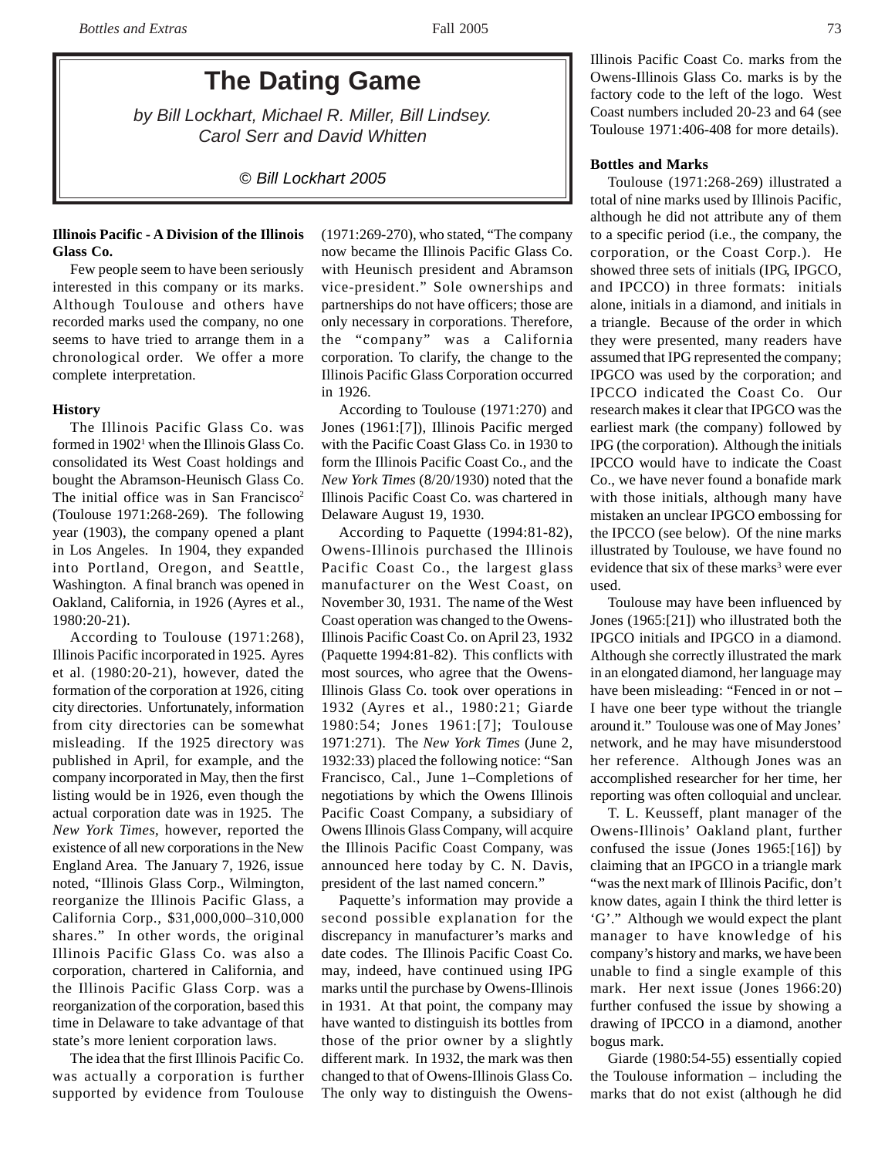# **The Dating Game**

*by Bill Lockhart, Michael R. Miller, Bill Lindsey. Carol Serr and David Whitten*

*© Bill Lockhart 2005*

## **Illinois Pacific - A Division of the Illinois Glass Co.**

Few people seem to have been seriously interested in this company or its marks. Although Toulouse and others have recorded marks used the company, no one seems to have tried to arrange them in a chronological order. We offer a more complete interpretation.

## **History**

The Illinois Pacific Glass Co. was formed in 1902<sup>1</sup> when the Illinois Glass Co. consolidated its West Coast holdings and bought the Abramson-Heunisch Glass Co. The initial office was in San Francisco<sup>2</sup> (Toulouse 1971:268-269). The following year (1903), the company opened a plant in Los Angeles. In 1904, they expanded into Portland, Oregon, and Seattle, Washington. A final branch was opened in Oakland, California, in 1926 (Ayres et al., 1980:20-21).

According to Toulouse (1971:268), Illinois Pacific incorporated in 1925. Ayres et al. (1980:20-21), however, dated the formation of the corporation at 1926, citing city directories. Unfortunately, information from city directories can be somewhat misleading. If the 1925 directory was published in April, for example, and the company incorporated in May, then the first listing would be in 1926, even though the actual corporation date was in 1925. The *New York Times*, however, reported the existence of all new corporations in the New England Area. The January 7, 1926, issue noted, "Illinois Glass Corp., Wilmington, reorganize the Illinois Pacific Glass, a California Corp., \$31,000,000–310,000 shares." In other words, the original Illinois Pacific Glass Co. was also a corporation, chartered in California, and the Illinois Pacific Glass Corp. was a reorganization of the corporation, based this time in Delaware to take advantage of that state's more lenient corporation laws.

The idea that the first Illinois Pacific Co. was actually a corporation is further supported by evidence from Toulouse

(1971:269-270), who stated, "The company now became the Illinois Pacific Glass Co. with Heunisch president and Abramson vice-president." Sole ownerships and partnerships do not have officers; those are only necessary in corporations. Therefore, the "company" was a California corporation. To clarify, the change to the Illinois Pacific Glass Corporation occurred in 1926.

According to Toulouse (1971:270) and Jones (1961:[7]), Illinois Pacific merged with the Pacific Coast Glass Co. in 1930 to form the Illinois Pacific Coast Co., and the *New York Times* (8/20/1930) noted that the Illinois Pacific Coast Co. was chartered in Delaware August 19, 1930.

According to Paquette (1994:81-82), Owens-Illinois purchased the Illinois Pacific Coast Co., the largest glass manufacturer on the West Coast, on November 30, 1931. The name of the West Coast operation was changed to the Owens-Illinois Pacific Coast Co. on April 23, 1932 (Paquette 1994:81-82). This conflicts with most sources, who agree that the Owens-Illinois Glass Co. took over operations in 1932 (Ayres et al., 1980:21; Giarde 1980:54; Jones 1961:[7]; Toulouse 1971:271). The *New York Times* (June 2, 1932:33) placed the following notice: "San Francisco, Cal., June 1–Completions of negotiations by which the Owens Illinois Pacific Coast Company, a subsidiary of Owens Illinois Glass Company, will acquire the Illinois Pacific Coast Company, was announced here today by C. N. Davis, president of the last named concern."

Paquette's information may provide a second possible explanation for the discrepancy in manufacturer's marks and date codes. The Illinois Pacific Coast Co. may, indeed, have continued using IPG marks until the purchase by Owens-Illinois in 1931. At that point, the company may have wanted to distinguish its bottles from those of the prior owner by a slightly different mark. In 1932, the mark was then changed to that of Owens-Illinois Glass Co. The only way to distinguish the OwensIllinois Pacific Coast Co. marks from the Owens-Illinois Glass Co. marks is by the factory code to the left of the logo. West Coast numbers included 20-23 and 64 (see Toulouse 1971:406-408 for more details).

# **Bottles and Marks**

Toulouse (1971:268-269) illustrated a total of nine marks used by Illinois Pacific, although he did not attribute any of them to a specific period (i.e., the company, the corporation, or the Coast Corp.). He showed three sets of initials (IPG, IPGCO, and IPCCO) in three formats: initials alone, initials in a diamond, and initials in a triangle. Because of the order in which they were presented, many readers have assumed that IPG represented the company; IPGCO was used by the corporation; and IPCCO indicated the Coast Co. Our research makes it clear that IPGCO was the earliest mark (the company) followed by IPG (the corporation). Although the initials IPCCO would have to indicate the Coast Co., we have never found a bonafide mark with those initials, although many have mistaken an unclear IPGCO embossing for the IPCCO (see below). Of the nine marks illustrated by Toulouse, we have found no evidence that six of these marks<sup>3</sup> were ever used.

Toulouse may have been influenced by Jones (1965:[21]) who illustrated both the IPGCO initials and IPGCO in a diamond. Although she correctly illustrated the mark in an elongated diamond, her language may have been misleading: "Fenced in or not – I have one beer type without the triangle around it." Toulouse was one of May Jones' network, and he may have misunderstood her reference. Although Jones was an accomplished researcher for her time, her reporting was often colloquial and unclear.

T. L. Keusseff, plant manager of the Owens-Illinois' Oakland plant, further confused the issue (Jones 1965:[16]) by claiming that an IPGCO in a triangle mark "was the next mark of Illinois Pacific, don't know dates, again I think the third letter is 'G'." Although we would expect the plant manager to have knowledge of his company's history and marks, we have been unable to find a single example of this mark. Her next issue (Jones 1966:20) further confused the issue by showing a drawing of IPCCO in a diamond, another bogus mark.

Giarde (1980:54-55) essentially copied the Toulouse information – including the marks that do not exist (although he did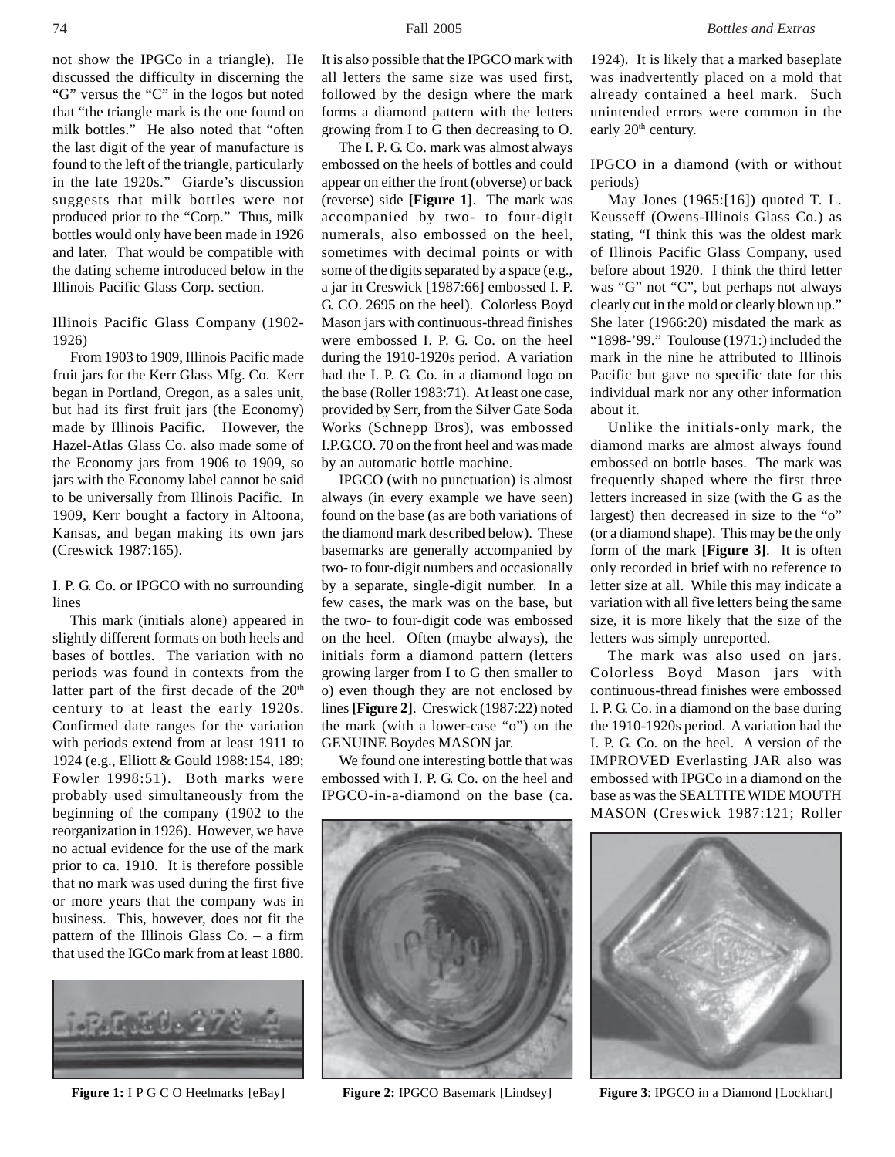not show the IPGCo in a triangle). He discussed the difficulty in discerning the "G" versus the "C" in the logos but noted that "the triangle mark is the one found on milk bottles." He also noted that "often the last digit of the year of manufacture is found to the left of the triangle, particularly in the late 1920s." Giarde's discussion suggests that milk bottles were not produced prior to the "Corp." Thus, milk bottles would only have been made in 1926 and later. That would be compatible with the dating scheme introduced below in the Illinois Pacific Glass Corp. section.

# Illinois Pacific Glass Company (1902- 1926)

From 1903 to 1909, Illinois Pacific made fruit jars for the Kerr Glass Mfg. Co. Kerr began in Portland, Oregon, as a sales unit, but had its first fruit jars (the Economy) made by Illinois Pacific. However, the Hazel-Atlas Glass Co. also made some of the Economy jars from 1906 to 1909, so jars with the Economy label cannot be said to be universally from Illinois Pacific. In 1909, Kerr bought a factory in Altoona, Kansas, and began making its own jars (Creswick 1987:165).

## I. P. G. Co. or IPGCO with no surrounding lines

This mark (initials alone) appeared in slightly different formats on both heels and bases of bottles. The variation with no periods was found in contexts from the latter part of the first decade of the 20<sup>th</sup> century to at least the early 1920s. Confirmed date ranges for the variation with periods extend from at least 1911 to 1924 (e.g., Elliott & Gould 1988:154, 189; Fowler 1998:51). Both marks were probably used simultaneously from the beginning of the company (1902 to the reorganization in 1926). However, we have no actual evidence for the use of the mark prior to ca. 1910. It is therefore possible that no mark was used during the first five or more years that the company was in business. This, however, does not fit the pattern of the Illinois Glass Co. – a firm that used the IGCo mark from at least 1880.



It is also possible that the IPGCO mark with all letters the same size was used first, followed by the design where the mark forms a diamond pattern with the letters growing from I to G then decreasing to O.

The I. P. G. Co. mark was almost always embossed on the heels of bottles and could appear on either the front (obverse) or back (reverse) side **[Figure 1]**. The mark was accompanied by two- to four-digit numerals, also embossed on the heel, sometimes with decimal points or with some of the digits separated by a space (e.g., a jar in Creswick [1987:66] embossed I. P. G. CO. 2695 on the heel). Colorless Boyd Mason jars with continuous-thread finishes were embossed I. P. G. Co. on the heel during the 1910-1920s period. A variation had the I. P. G. Co. in a diamond logo on the base (Roller 1983:71). At least one case, provided by Serr, from the Silver Gate Soda Works (Schnepp Bros), was embossed I.P.G.CO. 70 on the front heel and was made by an automatic bottle machine.

IPGCO (with no punctuation) is almost always (in every example we have seen) found on the base (as are both variations of the diamond mark described below). These basemarks are generally accompanied by two- to four-digit numbers and occasionally by a separate, single-digit number. In a few cases, the mark was on the base, but the two- to four-digit code was embossed on the heel. Often (maybe always), the initials form a diamond pattern (letters growing larger from I to G then smaller to o) even though they are not enclosed by lines **[Figure 2]**. Creswick (1987:22) noted the mark (with a lower-case "o") on the GENUINE Boydes MASON jar.

We found one interesting bottle that was embossed with I. P. G. Co. on the heel and IPGCO-in-a-diamond on the base (ca.



**Figure 1:** I P G C O Heelmarks [eBay] **Figure 2:** IPGCO Basemark [Lindsey] **Figure 3**: IPGCO in a Diamond [Lockhart]

1924). It is likely that a marked baseplate was inadvertently placed on a mold that already contained a heel mark. Such unintended errors were common in the early 20<sup>th</sup> century.

IPGCO in a diamond (with or without periods)

May Jones (1965:[16]) quoted T. L. Keusseff (Owens-Illinois Glass Co.) as stating, "I think this was the oldest mark of Illinois Pacific Glass Company, used before about 1920. I think the third letter was "G" not "C", but perhaps not always clearly cut in the mold or clearly blown up." She later (1966:20) misdated the mark as "1898-'99." Toulouse (1971:) included the mark in the nine he attributed to Illinois Pacific but gave no specific date for this individual mark nor any other information about it.

Unlike the initials-only mark, the diamond marks are almost always found embossed on bottle bases. The mark was frequently shaped where the first three letters increased in size (with the G as the largest) then decreased in size to the "o" (or a diamond shape). This may be the only form of the mark **[Figure 3]**. It is often only recorded in brief with no reference to letter size at all. While this may indicate a variation with all five letters being the same size, it is more likely that the size of the letters was simply unreported.

The mark was also used on jars. Colorless Boyd Mason jars with continuous-thread finishes were embossed I. P. G. Co. in a diamond on the base during the 1910-1920s period. A variation had the I. P. G. Co. on the heel. A version of the IMPROVED Everlasting JAR also was embossed with IPGCo in a diamond on the base as was the SEALTITE WIDE MOUTH MASON (Creswick 1987:121; Roller

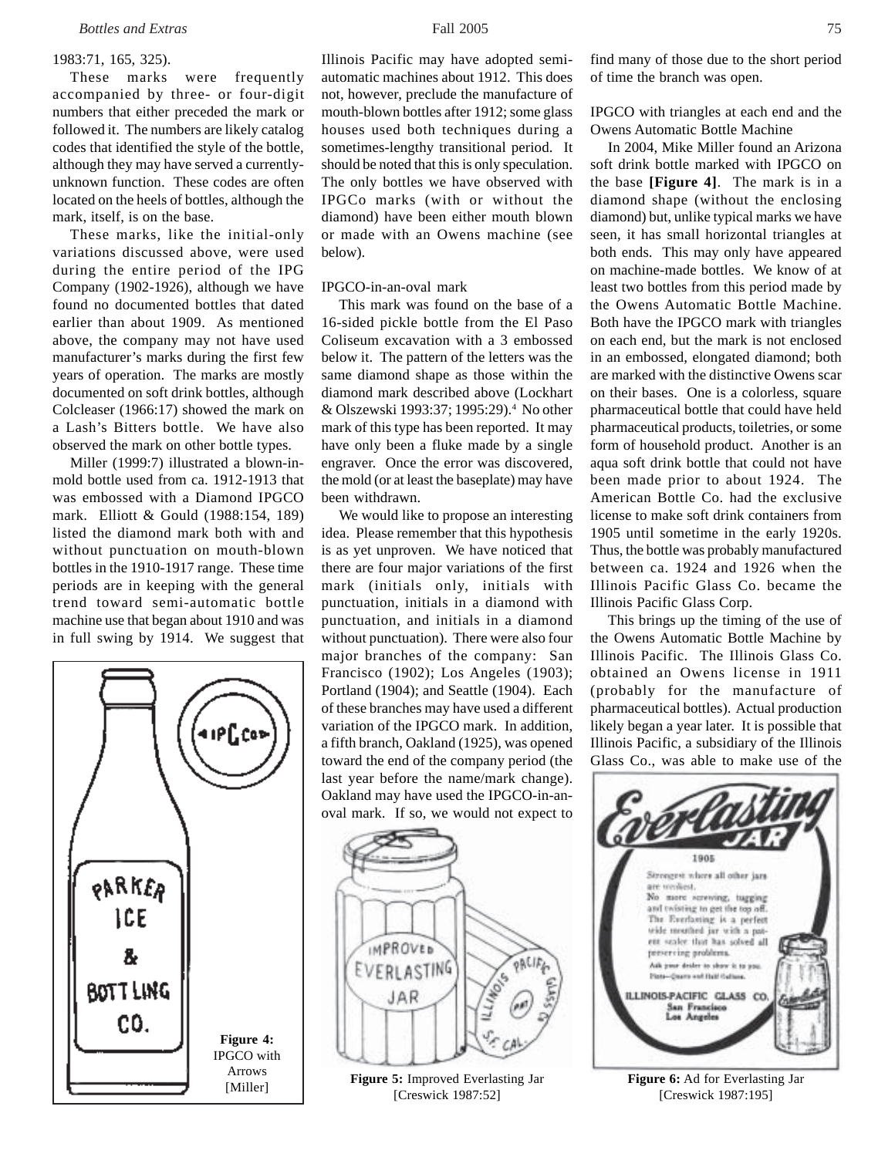#### 1983:71, 165, 325).

These marks were frequently accompanied by three- or four-digit numbers that either preceded the mark or followed it. The numbers are likely catalog codes that identified the style of the bottle, although they may have served a currentlyunknown function. These codes are often located on the heels of bottles, although the mark, itself, is on the base.

These marks, like the initial-only variations discussed above, were used during the entire period of the IPG Company (1902-1926), although we have found no documented bottles that dated earlier than about 1909. As mentioned above, the company may not have used manufacturer's marks during the first few years of operation. The marks are mostly documented on soft drink bottles, although Colcleaser (1966:17) showed the mark on a Lash's Bitters bottle. We have also observed the mark on other bottle types.

Miller (1999:7) illustrated a blown-inmold bottle used from ca. 1912-1913 that was embossed with a Diamond IPGCO mark. Elliott & Gould (1988:154, 189) listed the diamond mark both with and without punctuation on mouth-blown bottles in the 1910-1917 range. These time periods are in keeping with the general trend toward semi-automatic bottle machine use that began about 1910 and was in full swing by 1914. We suggest that



Illinois Pacific may have adopted semiautomatic machines about 1912. This does not, however, preclude the manufacture of mouth-blown bottles after 1912; some glass houses used both techniques during a sometimes-lengthy transitional period. It should be noted that this is only speculation. The only bottles we have observed with IPGCo marks (with or without the diamond) have been either mouth blown or made with an Owens machine (see below).

#### IPGCO-in-an-oval mark

This mark was found on the base of a 16-sided pickle bottle from the El Paso Coliseum excavation with a 3 embossed below it. The pattern of the letters was the same diamond shape as those within the diamond mark described above (Lockhart & Olszewski 1993:37; 1995:29).4 No other mark of this type has been reported. It may have only been a fluke made by a single engraver. Once the error was discovered, the mold (or at least the baseplate) may have been withdrawn.

We would like to propose an interesting idea. Please remember that this hypothesis is as yet unproven. We have noticed that there are four major variations of the first mark (initials only, initials with punctuation, initials in a diamond with punctuation, and initials in a diamond without punctuation). There were also four major branches of the company: San Francisco (1902); Los Angeles (1903); Portland (1904); and Seattle (1904). Each of these branches may have used a different variation of the IPGCO mark. In addition, a fifth branch, Oakland (1925), was opened toward the end of the company period (the last year before the name/mark change). Oakland may have used the IPGCO-in-anoval mark. If so, we would not expect to



[Miller] **Figure 5:** Improved Everlasting Jar [Creswick 1987:52]

find many of those due to the short period of time the branch was open.

## IPGCO with triangles at each end and the Owens Automatic Bottle Machine

In 2004, Mike Miller found an Arizona soft drink bottle marked with IPGCO on the base **[Figure 4]**. The mark is in a diamond shape (without the enclosing diamond) but, unlike typical marks we have seen, it has small horizontal triangles at both ends. This may only have appeared on machine-made bottles. We know of at least two bottles from this period made by the Owens Automatic Bottle Machine. Both have the IPGCO mark with triangles on each end, but the mark is not enclosed in an embossed, elongated diamond; both are marked with the distinctive Owens scar on their bases. One is a colorless, square pharmaceutical bottle that could have held pharmaceutical products, toiletries, or some form of household product. Another is an aqua soft drink bottle that could not have been made prior to about 1924. The American Bottle Co. had the exclusive license to make soft drink containers from 1905 until sometime in the early 1920s. Thus, the bottle was probably manufactured between ca. 1924 and 1926 when the Illinois Pacific Glass Co. became the Illinois Pacific Glass Corp.

This brings up the timing of the use of the Owens Automatic Bottle Machine by Illinois Pacific. The Illinois Glass Co. obtained an Owens license in 1911 (probably for the manufacture of pharmaceutical bottles). Actual production likely began a year later. It is possible that Illinois Pacific, a subsidiary of the Illinois Glass Co., was able to make use of the



**Figure 6:** Ad for Everlasting Jar [Creswick 1987:195]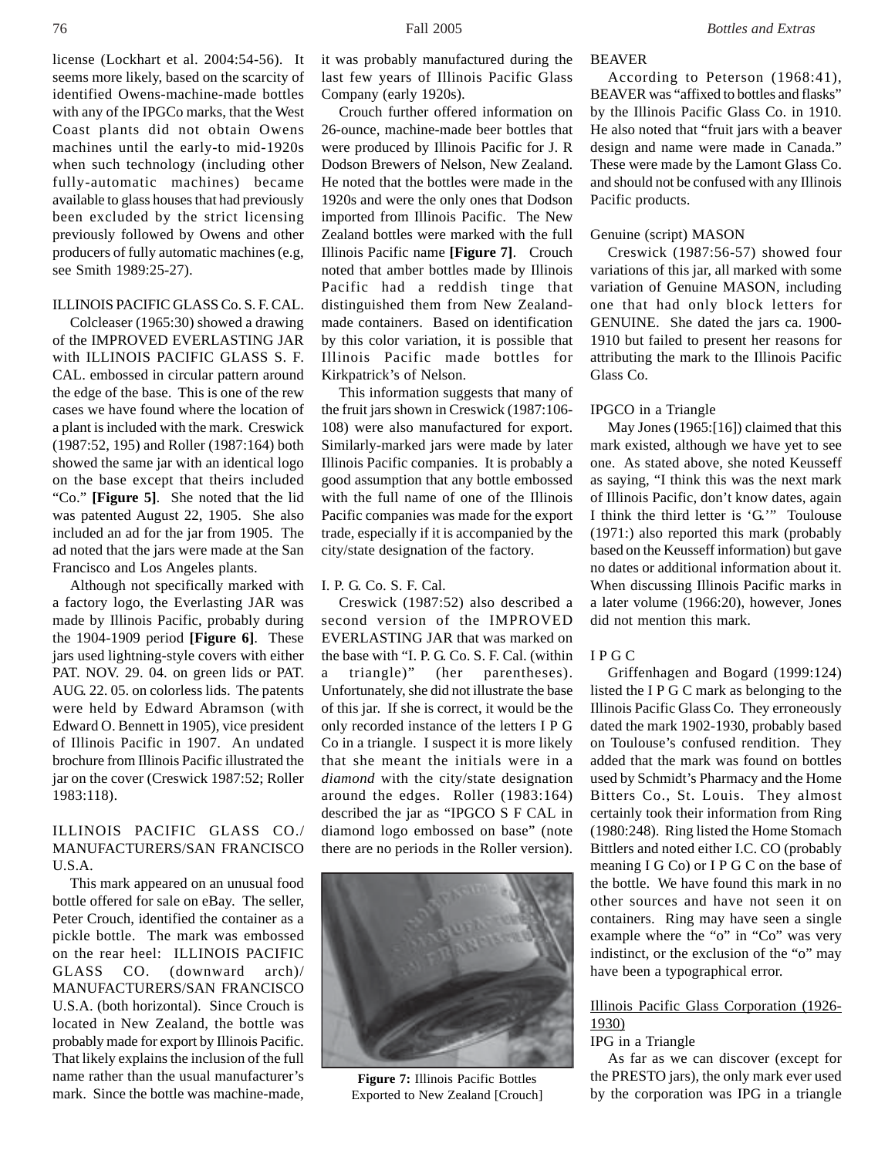license (Lockhart et al. 2004:54-56). It seems more likely, based on the scarcity of identified Owens-machine-made bottles with any of the IPGCo marks, that the West Coast plants did not obtain Owens machines until the early-to mid-1920s when such technology (including other fully-automatic machines) became available to glass houses that had previously been excluded by the strict licensing previously followed by Owens and other producers of fully automatic machines (e.g, see Smith 1989:25-27).

## ILLINOIS PACIFIC GLASS Co. S. F. CAL.

Colcleaser (1965:30) showed a drawing of the IMPROVED EVERLASTING JAR with ILLINOIS PACIFIC GLASS S. F. CAL. embossed in circular pattern around the edge of the base. This is one of the rew cases we have found where the location of a plant is included with the mark. Creswick (1987:52, 195) and Roller (1987:164) both showed the same jar with an identical logo on the base except that theirs included "Co." **[Figure 5]**. She noted that the lid was patented August 22, 1905. She also included an ad for the jar from 1905. The ad noted that the jars were made at the San Francisco and Los Angeles plants.

Although not specifically marked with a factory logo, the Everlasting JAR was made by Illinois Pacific, probably during the 1904-1909 period **[Figure 6]**. These jars used lightning-style covers with either PAT. NOV. 29. 04. on green lids or PAT. AUG. 22. 05. on colorless lids. The patents were held by Edward Abramson (with Edward O. Bennett in 1905), vice president of Illinois Pacific in 1907. An undated brochure from Illinois Pacific illustrated the jar on the cover (Creswick 1987:52; Roller 1983:118).

# ILLINOIS PACIFIC GLASS CO./ MANUFACTURERS/SAN FRANCISCO U.S.A.

This mark appeared on an unusual food bottle offered for sale on eBay. The seller, Peter Crouch, identified the container as a pickle bottle. The mark was embossed on the rear heel: ILLINOIS PACIFIC GLASS CO. (downward arch)/ MANUFACTURERS/SAN FRANCISCO U.S.A. (both horizontal). Since Crouch is located in New Zealand, the bottle was probably made for export by Illinois Pacific. That likely explains the inclusion of the full name rather than the usual manufacturer's mark. Since the bottle was machine-made,

Company (early 1920s). Crouch further offered information on 26-ounce, machine-made beer bottles that were produced by Illinois Pacific for J. R Dodson Brewers of Nelson, New Zealand. He noted that the bottles were made in the 1920s and were the only ones that Dodson imported from Illinois Pacific. The New Zealand bottles were marked with the full Illinois Pacific name **[Figure 7]**. Crouch noted that amber bottles made by Illinois Pacific had a reddish tinge that distinguished them from New Zealandmade containers. Based on identification by this color variation, it is possible that Illinois Pacific made bottles for Kirkpatrick's of Nelson.

This information suggests that many of the fruit jars shown in Creswick (1987:106- 108) were also manufactured for export. Similarly-marked jars were made by later Illinois Pacific companies. It is probably a good assumption that any bottle embossed with the full name of one of the Illinois Pacific companies was made for the export trade, especially if it is accompanied by the city/state designation of the factory.

#### I. P. G. Co. S. F. Cal.

Creswick (1987:52) also described a second version of the IMPROVED EVERLASTING JAR that was marked on the base with "I. P. G. Co. S. F. Cal. (within a triangle)" (her parentheses). Unfortunately, she did not illustrate the base of this jar. If she is correct, it would be the only recorded instance of the letters I P G Co in a triangle. I suspect it is more likely that she meant the initials were in a *diamond* with the city/state designation around the edges. Roller (1983:164) described the jar as "IPGCO S F CAL in diamond logo embossed on base" (note there are no periods in the Roller version).



**Figure 7:** Illinois Pacific Bottles Exported to New Zealand [Crouch]

#### BEAVER

According to Peterson (1968:41), BEAVER was "affixed to bottles and flasks" by the Illinois Pacific Glass Co. in 1910. He also noted that "fruit jars with a beaver design and name were made in Canada." These were made by the Lamont Glass Co. and should not be confused with any Illinois Pacific products.

#### Genuine (script) MASON

Creswick (1987:56-57) showed four variations of this jar, all marked with some variation of Genuine MASON, including one that had only block letters for GENUINE. She dated the jars ca. 1900- 1910 but failed to present her reasons for attributing the mark to the Illinois Pacific Glass Co.

## IPGCO in a Triangle

May Jones (1965:[16]) claimed that this mark existed, although we have yet to see one. As stated above, she noted Keusseff as saying, "I think this was the next mark of Illinois Pacific, don't know dates, again I think the third letter is 'G.'" Toulouse (1971:) also reported this mark (probably based on the Keusseff information) but gave no dates or additional information about it. When discussing Illinois Pacific marks in a later volume (1966:20), however, Jones did not mention this mark.

#### I P G C

Griffenhagen and Bogard (1999:124) listed the I P G C mark as belonging to the Illinois Pacific Glass Co. They erroneously dated the mark 1902-1930, probably based on Toulouse's confused rendition. They added that the mark was found on bottles used by Schmidt's Pharmacy and the Home Bitters Co., St. Louis. They almost certainly took their information from Ring (1980:248). Ring listed the Home Stomach Bittlers and noted either I.C. CO (probably meaning I G Co) or I P G C on the base of the bottle. We have found this mark in no other sources and have not seen it on containers. Ring may have seen a single example where the "o" in "Co" was very indistinct, or the exclusion of the "o" may have been a typographical error.

# Illinois Pacific Glass Corporation (1926- 1930)

## IPG in a Triangle

As far as we can discover (except for the PRESTO jars), the only mark ever used by the corporation was IPG in a triangle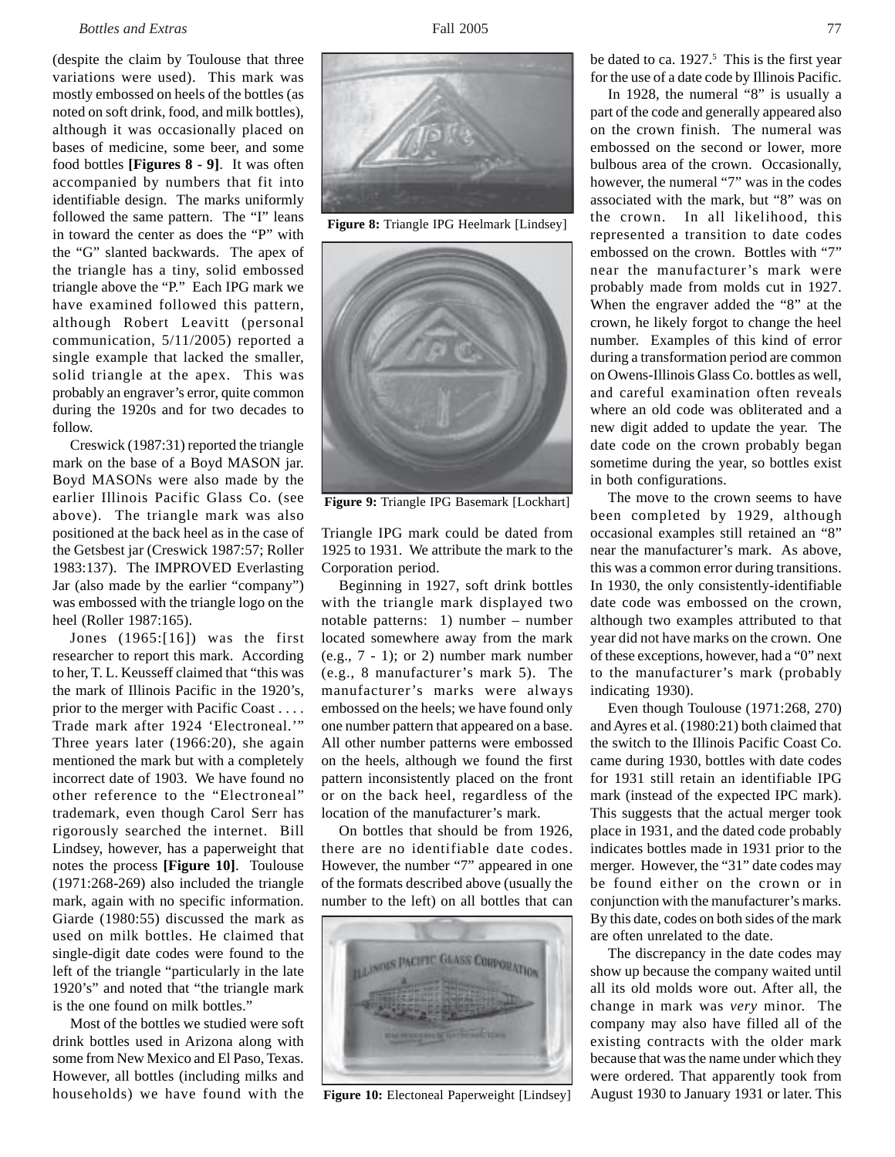(despite the claim by Toulouse that three variations were used). This mark was mostly embossed on heels of the bottles (as noted on soft drink, food, and milk bottles), although it was occasionally placed on bases of medicine, some beer, and some food bottles **[Figures 8 - 9]**. It was often accompanied by numbers that fit into identifiable design. The marks uniformly followed the same pattern. The "I" leans in toward the center as does the "P" with the "G" slanted backwards. The apex of the triangle has a tiny, solid embossed triangle above the "P." Each IPG mark we have examined followed this pattern, although Robert Leavitt (personal communication, 5/11/2005) reported a single example that lacked the smaller, solid triangle at the apex. This was probably an engraver's error, quite common during the 1920s and for two decades to follow.

Creswick (1987:31) reported the triangle mark on the base of a Boyd MASON jar. Boyd MASONs were also made by the earlier Illinois Pacific Glass Co. (see above). The triangle mark was also positioned at the back heel as in the case of the Getsbest jar (Creswick 1987:57; Roller 1983:137). The IMPROVED Everlasting Jar (also made by the earlier "company") was embossed with the triangle logo on the heel (Roller 1987:165).

Jones (1965:[16]) was the first researcher to report this mark. According to her, T. L. Keusseff claimed that "this was the mark of Illinois Pacific in the 1920's, prior to the merger with Pacific Coast . . . . Trade mark after 1924 'Electroneal.'" Three years later (1966:20), she again mentioned the mark but with a completely incorrect date of 1903. We have found no other reference to the "Electroneal" trademark, even though Carol Serr has rigorously searched the internet. Bill Lindsey, however, has a paperweight that notes the process **[Figure 10]**. Toulouse (1971:268-269) also included the triangle mark, again with no specific information. Giarde (1980:55) discussed the mark as used on milk bottles. He claimed that single-digit date codes were found to the left of the triangle "particularly in the late 1920's" and noted that "the triangle mark is the one found on milk bottles."

Most of the bottles we studied were soft drink bottles used in Arizona along with some from New Mexico and El Paso, Texas. However, all bottles (including milks and households) we have found with the



**Figure 8:** Triangle IPG Heelmark [Lindsey]



**Figure 9:** Triangle IPG Basemark [Lockhart]

Triangle IPG mark could be dated from 1925 to 1931. We attribute the mark to the Corporation period.

Beginning in 1927, soft drink bottles with the triangle mark displayed two notable patterns: 1) number – number located somewhere away from the mark (e.g., 7 - 1); or 2) number mark number (e.g., 8 manufacturer's mark 5). The manufacturer's marks were always embossed on the heels; we have found only one number pattern that appeared on a base. All other number patterns were embossed on the heels, although we found the first pattern inconsistently placed on the front or on the back heel, regardless of the location of the manufacturer's mark.

On bottles that should be from 1926, there are no identifiable date codes. However, the number "7" appeared in one of the formats described above (usually the number to the left) on all bottles that can



**Figure 10:** Electoneal Paperweight [Lindsey]

be dated to ca. 1927.<sup>5</sup> This is the first year for the use of a date code by Illinois Pacific.

In 1928, the numeral "8" is usually a part of the code and generally appeared also on the crown finish. The numeral was embossed on the second or lower, more bulbous area of the crown. Occasionally, however, the numeral "7" was in the codes associated with the mark, but "8" was on the crown. In all likelihood, this represented a transition to date codes embossed on the crown. Bottles with "7" near the manufacturer's mark were probably made from molds cut in 1927. When the engraver added the "8" at the crown, he likely forgot to change the heel number. Examples of this kind of error during a transformation period are common on Owens-Illinois Glass Co. bottles as well, and careful examination often reveals where an old code was obliterated and a new digit added to update the year. The date code on the crown probably began sometime during the year, so bottles exist in both configurations.

The move to the crown seems to have been completed by 1929, although occasional examples still retained an "8" near the manufacturer's mark. As above, this was a common error during transitions. In 1930, the only consistently-identifiable date code was embossed on the crown, although two examples attributed to that year did not have marks on the crown. One of these exceptions, however, had a "0" next to the manufacturer's mark (probably indicating 1930).

Even though Toulouse (1971:268, 270) and Ayres et al. (1980:21) both claimed that the switch to the Illinois Pacific Coast Co. came during 1930, bottles with date codes for 1931 still retain an identifiable IPG mark (instead of the expected IPC mark). This suggests that the actual merger took place in 1931, and the dated code probably indicates bottles made in 1931 prior to the merger. However, the "31" date codes may be found either on the crown or in conjunction with the manufacturer's marks. By this date, codes on both sides of the mark are often unrelated to the date.

The discrepancy in the date codes may show up because the company waited until all its old molds wore out. After all, the change in mark was *very* minor. The company may also have filled all of the existing contracts with the older mark because that was the name under which they were ordered. That apparently took from August 1930 to January 1931 or later. This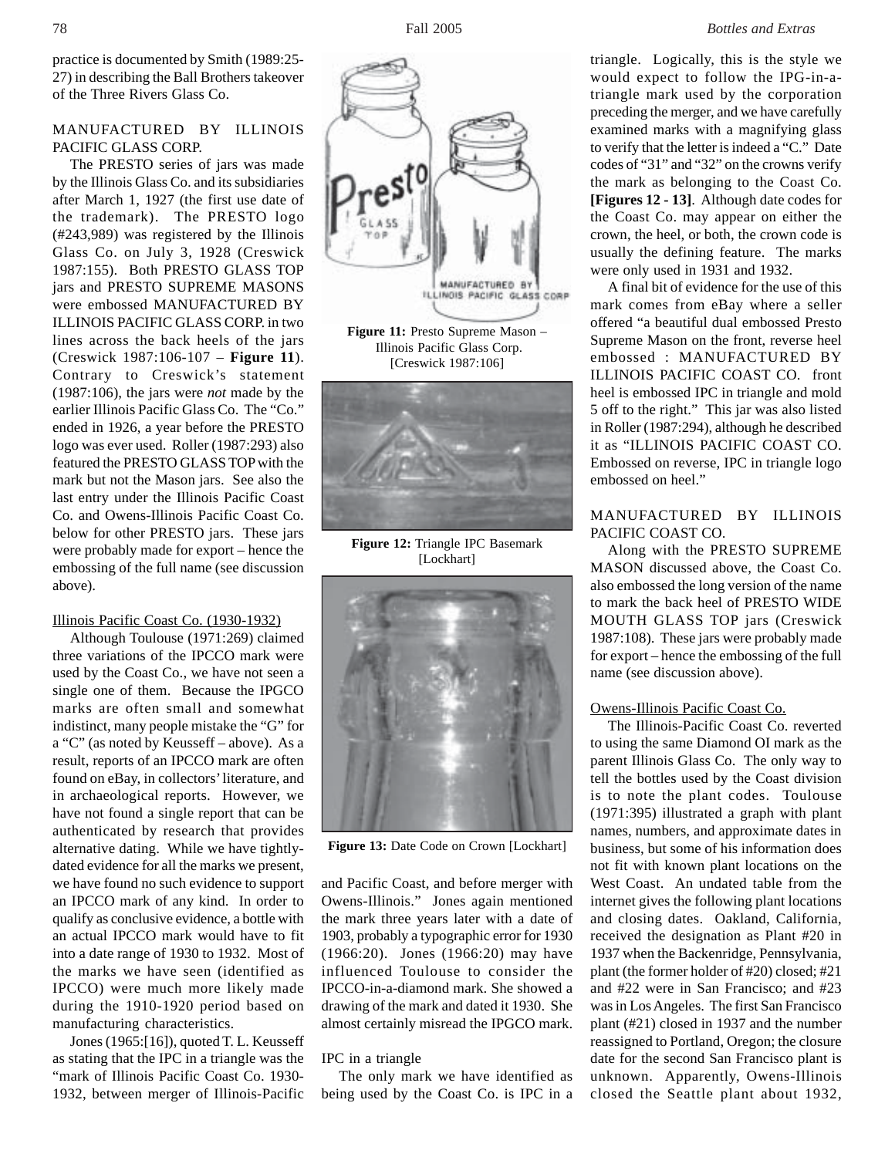practice is documented by Smith (1989:25- 27) in describing the Ball Brothers takeover of the Three Rivers Glass Co.

# MANUFACTURED BY ILLINOIS PACIFIC GLASS CORP.

The PRESTO series of jars was made by the Illinois Glass Co. and its subsidiaries after March 1, 1927 (the first use date of the trademark). The PRESTO logo (#243,989) was registered by the Illinois Glass Co. on July 3, 1928 (Creswick 1987:155). Both PRESTO GLASS TOP jars and PRESTO SUPREME MASONS were embossed MANUFACTURED BY ILLINOIS PACIFIC GLASS CORP. in two lines across the back heels of the jars (Creswick 1987:106-107 – **Figure 11**). Contrary to Creswick's statement (1987:106), the jars were *not* made by the earlier Illinois Pacific Glass Co. The "Co." ended in 1926, a year before the PRESTO logo was ever used. Roller (1987:293) also featured the PRESTO GLASS TOP with the mark but not the Mason jars. See also the last entry under the Illinois Pacific Coast Co. and Owens-Illinois Pacific Coast Co. below for other PRESTO jars. These jars were probably made for export – hence the embossing of the full name (see discussion above).

## Illinois Pacific Coast Co. (1930-1932)

Although Toulouse (1971:269) claimed three variations of the IPCCO mark were used by the Coast Co., we have not seen a single one of them. Because the IPGCO marks are often small and somewhat indistinct, many people mistake the "G" for a "C" (as noted by Keusseff – above). As a result, reports of an IPCCO mark are often found on eBay, in collectors' literature, and in archaeological reports. However, we have not found a single report that can be authenticated by research that provides alternative dating. While we have tightlydated evidence for all the marks we present, we have found no such evidence to support an IPCCO mark of any kind. In order to qualify as conclusive evidence, a bottle with an actual IPCCO mark would have to fit into a date range of 1930 to 1932. Most of the marks we have seen (identified as IPCCO) were much more likely made during the 1910-1920 period based on manufacturing characteristics.

Jones (1965:[16]), quoted T. L. Keusseff as stating that the IPC in a triangle was the "mark of Illinois Pacific Coast Co. 1930- 1932, between merger of Illinois-Pacific



 Illinois Pacific Glass Corp. [Creswick 1987:106]



**Figure 12:** Triangle IPC Basemark [Lockhart]



**Figure 13:** Date Code on Crown [Lockhart]

and Pacific Coast, and before merger with Owens-Illinois." Jones again mentioned the mark three years later with a date of 1903, probably a typographic error for 1930 (1966:20). Jones (1966:20) may have influenced Toulouse to consider the IPCCO-in-a-diamond mark. She showed a drawing of the mark and dated it 1930. She almost certainly misread the IPGCO mark.

## IPC in a triangle

The only mark we have identified as being used by the Coast Co. is IPC in a triangle. Logically, this is the style we would expect to follow the IPG-in-atriangle mark used by the corporation preceding the merger, and we have carefully examined marks with a magnifying glass to verify that the letter is indeed a "C." Date codes of "31" and "32" on the crowns verify the mark as belonging to the Coast Co. **[Figures 12 - 13]**. Although date codes for the Coast Co. may appear on either the crown, the heel, or both, the crown code is usually the defining feature. The marks were only used in 1931 and 1932.

A final bit of evidence for the use of this mark comes from eBay where a seller offered "a beautiful dual embossed Presto Supreme Mason on the front, reverse heel embossed : MANUFACTURED BY ILLINOIS PACIFIC COAST CO. front heel is embossed IPC in triangle and mold 5 off to the right." This jar was also listed in Roller (1987:294), although he described it as "ILLINOIS PACIFIC COAST CO. Embossed on reverse, IPC in triangle logo embossed on heel."

# MANUFACTURED BY ILLINOIS PACIFIC COAST CO.

Along with the PRESTO SUPREME MASON discussed above, the Coast Co. also embossed the long version of the name to mark the back heel of PRESTO WIDE MOUTH GLASS TOP jars (Creswick 1987:108). These jars were probably made for export – hence the embossing of the full name (see discussion above).

#### Owens-Illinois Pacific Coast Co.

The Illinois-Pacific Coast Co. reverted to using the same Diamond OI mark as the parent Illinois Glass Co. The only way to tell the bottles used by the Coast division is to note the plant codes. Toulouse (1971:395) illustrated a graph with plant names, numbers, and approximate dates in business, but some of his information does not fit with known plant locations on the West Coast. An undated table from the internet gives the following plant locations and closing dates. Oakland, California, received the designation as Plant #20 in 1937 when the Backenridge, Pennsylvania, plant (the former holder of #20) closed; #21 and #22 were in San Francisco; and #23 was in Los Angeles. The first San Francisco plant (#21) closed in 1937 and the number reassigned to Portland, Oregon; the closure date for the second San Francisco plant is unknown. Apparently, Owens-Illinois closed the Seattle plant about 1932,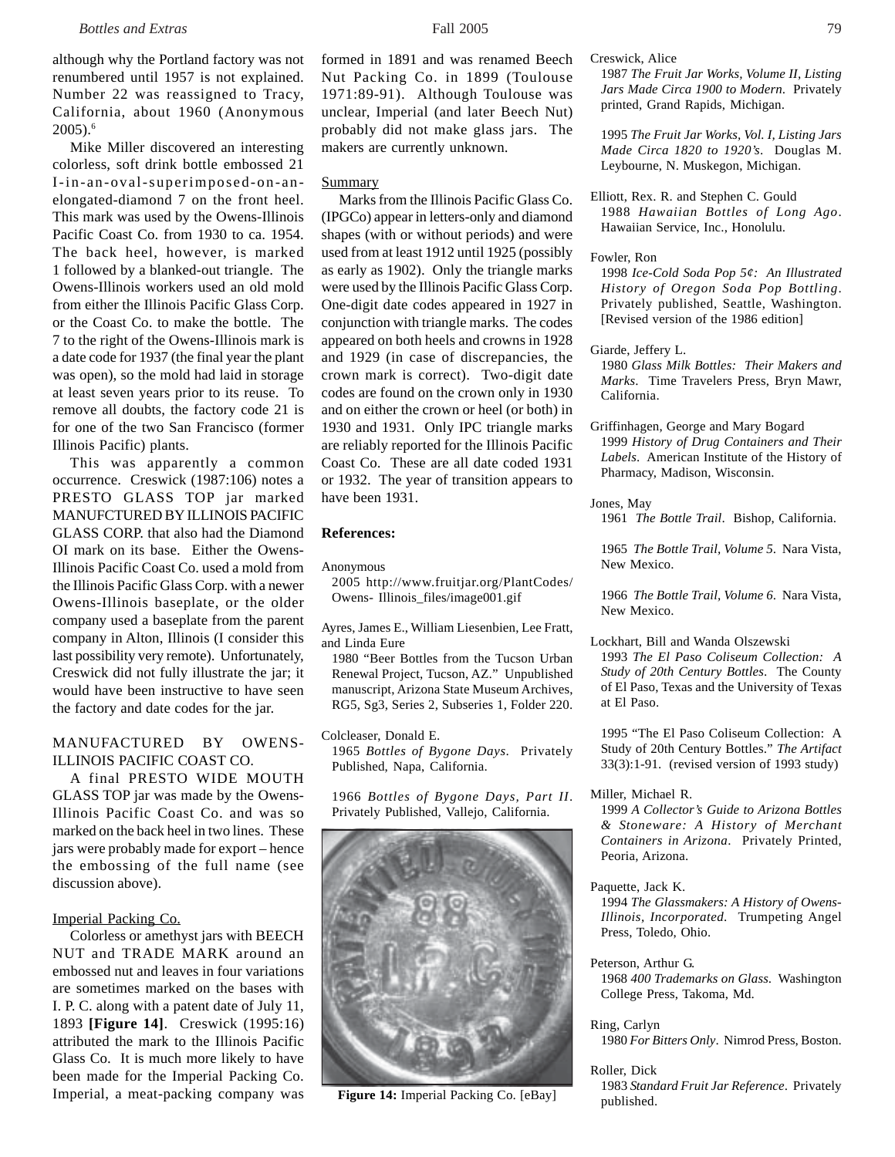although why the Portland factory was not renumbered until 1957 is not explained. Number 22 was reassigned to Tracy, California, about 1960 (Anonymous 2005).6

Mike Miller discovered an interesting colorless, soft drink bottle embossed 21 I-in-an-oval-superimposed-on-anelongated-diamond 7 on the front heel. This mark was used by the Owens-Illinois Pacific Coast Co. from 1930 to ca. 1954. The back heel, however, is marked 1 followed by a blanked-out triangle. The Owens-Illinois workers used an old mold from either the Illinois Pacific Glass Corp. or the Coast Co. to make the bottle. The 7 to the right of the Owens-Illinois mark is a date code for 1937 (the final year the plant was open), so the mold had laid in storage at least seven years prior to its reuse. To remove all doubts, the factory code 21 is for one of the two San Francisco (former Illinois Pacific) plants.

This was apparently a common occurrence. Creswick (1987:106) notes a PRESTO GLASS TOP jar marked MANUFCTURED BY ILLINOIS PACIFIC GLASS CORP. that also had the Diamond OI mark on its base. Either the Owens-Illinois Pacific Coast Co. used a mold from the Illinois Pacific Glass Corp. with a newer Owens-Illinois baseplate, or the older company used a baseplate from the parent company in Alton, Illinois (I consider this last possibility very remote). Unfortunately, Creswick did not fully illustrate the jar; it would have been instructive to have seen the factory and date codes for the jar.

## MANUFACTURED BY OWENS-ILLINOIS PACIFIC COAST CO.

A final PRESTO WIDE MOUTH GLASS TOP jar was made by the Owens-Illinois Pacific Coast Co. and was so marked on the back heel in two lines. These jars were probably made for export – hence the embossing of the full name (see discussion above).

## Imperial Packing Co.

Colorless or amethyst jars with BEECH NUT and TRADE MARK around an embossed nut and leaves in four variations are sometimes marked on the bases with I. P. C. along with a patent date of July 11, 1893 **[Figure 14]**. Creswick (1995:16) attributed the mark to the Illinois Pacific Glass Co. It is much more likely to have been made for the Imperial Packing Co. Imperial, a meat-packing company was formed in 1891 and was renamed Beech Nut Packing Co. in 1899 (Toulouse 1971:89-91). Although Toulouse was unclear, Imperial (and later Beech Nut) probably did not make glass jars. The makers are currently unknown.

#### **Summary**

Marks from the Illinois Pacific Glass Co. (IPGCo) appear in letters-only and diamond shapes (with or without periods) and were used from at least 1912 until 1925 (possibly as early as 1902). Only the triangle marks were used by the Illinois Pacific Glass Corp. One-digit date codes appeared in 1927 in conjunction with triangle marks. The codes appeared on both heels and crowns in 1928 and 1929 (in case of discrepancies, the crown mark is correct). Two-digit date codes are found on the crown only in 1930 and on either the crown or heel (or both) in 1930 and 1931. Only IPC triangle marks are reliably reported for the Illinois Pacific Coast Co. These are all date coded 1931 or 1932. The year of transition appears to have been 1931.

#### **References:**

Anonymous

2005 http://www.fruitjar.org/PlantCodes/ Owens- Illinois\_files/image001.gif

- Ayres, James E., William Liesenbien, Lee Fratt, and Linda Eure
- 1980 "Beer Bottles from the Tucson Urban Renewal Project, Tucson, AZ." Unpublished manuscript, Arizona State Museum Archives, RG5, Sg3, Series 2, Subseries 1, Folder 220.

Colcleaser, Donald E. 1965 *Bottles of Bygone Days*. Privately Published, Napa, California.

1966 *Bottles of Bygone Days, Part II*. Privately Published, Vallejo, California.



**Figure 14:** Imperial Packing Co. [eBay]  $p$  by  $\frac{1765 \text{ standard}}{1200 \text{ published}}$ .

Creswick, Alice

1987 *The Fruit Jar Works, Volume II, Listing Jars Made Circa 1900 to Modern*. Privately printed, Grand Rapids, Michigan.

1995 *The Fruit Jar Works, Vol. I, Listing Jars Made Circa 1820 to 1920's*. Douglas M. Leybourne, N. Muskegon, Michigan.

- Elliott, Rex. R. and Stephen C. Gould 1988 *Hawaiian Bottles of Long Ago*. Hawaiian Service, Inc., Honolulu.
- Fowler, Ron

1998 *Ice-Cold Soda Pop 5¢: An Illustrated History of Oregon Soda Pop Bottling*. Privately published, Seattle, Washington. [Revised version of the 1986 edition]

Giarde, Jeffery L.

1980 *Glass Milk Bottles: Their Makers and Marks*. Time Travelers Press, Bryn Mawr, California.

Griffinhagen, George and Mary Bogard 1999 *History of Drug Containers and Their Labels*. American Institute of the History of Pharmacy, Madison, Wisconsin.

Jones, May

1961 *The Bottle Trail*. Bishop, California.

1965 *The Bottle Trail, Volume 5*. Nara Vista, New Mexico.

1966 *The Bottle Trail, Volume 6*. Nara Vista, New Mexico.

Lockhart, Bill and Wanda Olszewski

1993 *The El Paso Coliseum Collection: A Study of 20th Century Bottles*. The County of El Paso, Texas and the University of Texas at El Paso.

1995 "The El Paso Coliseum Collection: A Study of 20th Century Bottles." *The Artifact* 33(3):1-91. (revised version of 1993 study)

Miller, Michael R.

1999 *A Collector's Guide to Arizona Bottles & Stoneware: A History of Merchant Containers in Arizona*. Privately Printed, Peoria, Arizona.

Paquette, Jack K.

1994 *The Glassmakers: A History of Owens-Illinois, Incorporated*. Trumpeting Angel Press, Toledo, Ohio.

Peterson, Arthur G. 1968 *400 Trademarks on Glass*. Washington College Press, Takoma, Md.

#### Ring, Carlyn

1980 *For Bitters Only*. Nimrod Press, Boston.

#### Roller, Dick

1983 *Standard Fruit Jar Reference*. Privately